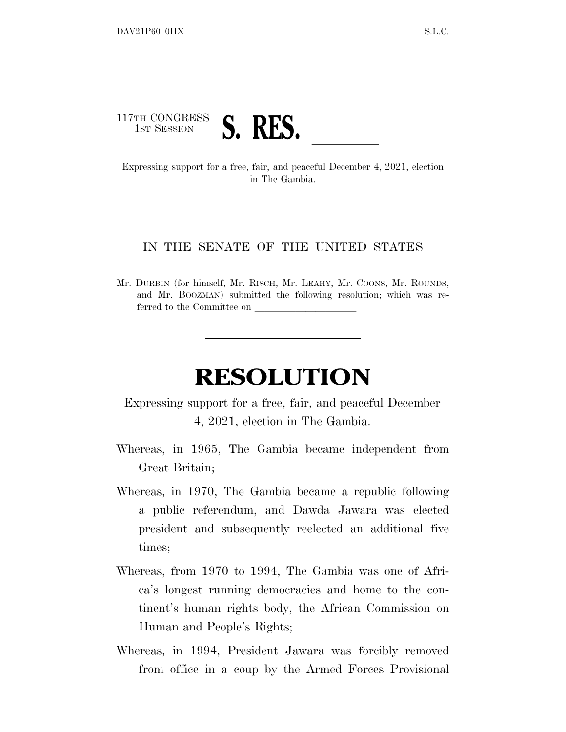

in The Gambia.

## IN THE SENATE OF THE UNITED STATES

Mr. DURBIN (for himself, Mr. RISCH, Mr. LEAHY, Mr. COONS, Mr. ROUNDS, and Mr. BOOZMAN) submitted the following resolution; which was referred to the Committee on

## **RESOLUTION**

Expressing support for a free, fair, and peaceful December 4, 2021, election in The Gambia.

- Whereas, in 1965, The Gambia became independent from Great Britain;
- Whereas, in 1970, The Gambia became a republic following a public referendum, and Dawda Jawara was elected president and subsequently reelected an additional five times;
- Whereas, from 1970 to 1994, The Gambia was one of Africa's longest running democracies and home to the continent's human rights body, the African Commission on Human and People's Rights;
- Whereas, in 1994, President Jawara was forcibly removed from office in a coup by the Armed Forces Provisional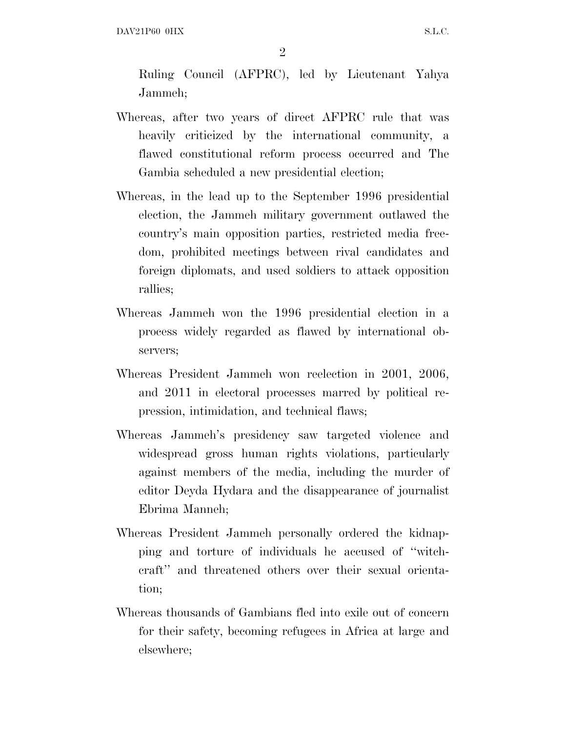DAV21P60 OHX S.L.C.

 $\mathfrak{D}$ 

Ruling Council (AFPRC), led by Lieutenant Yahya Jammeh;

- Whereas, after two years of direct AFPRC rule that was heavily criticized by the international community, a flawed constitutional reform process occurred and The Gambia scheduled a new presidential election;
- Whereas, in the lead up to the September 1996 presidential election, the Jammeh military government outlawed the country's main opposition parties, restricted media freedom, prohibited meetings between rival candidates and foreign diplomats, and used soldiers to attack opposition rallies;
- Whereas Jammeh won the 1996 presidential election in a process widely regarded as flawed by international observers;
- Whereas President Jammeh won reelection in 2001, 2006, and 2011 in electoral processes marred by political repression, intimidation, and technical flaws;
- Whereas Jammeh's presidency saw targeted violence and widespread gross human rights violations, particularly against members of the media, including the murder of editor Deyda Hydara and the disappearance of journalist Ebrima Manneh;
- Whereas President Jammeh personally ordered the kidnapping and torture of individuals he accused of ''witchcraft'' and threatened others over their sexual orientation;
- Whereas thousands of Gambians fled into exile out of concern for their safety, becoming refugees in Africa at large and elsewhere;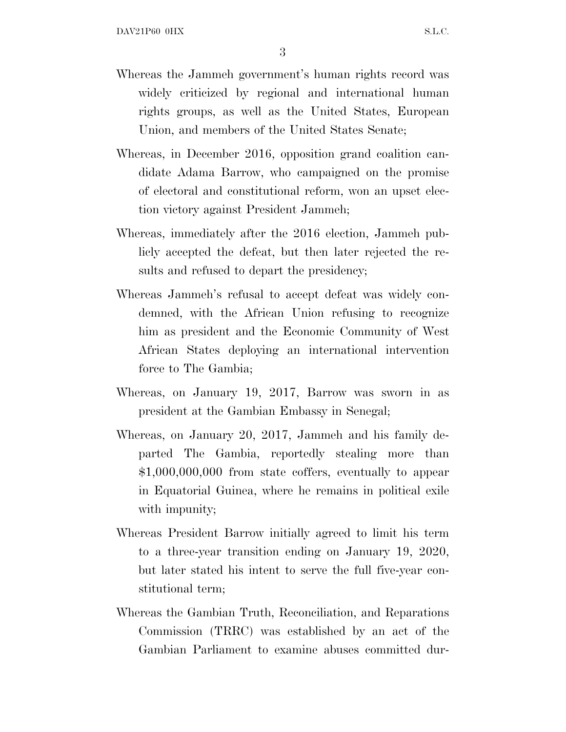3

- Whereas the Jammeh government's human rights record was widely criticized by regional and international human rights groups, as well as the United States, European Union, and members of the United States Senate;
- Whereas, in December 2016, opposition grand coalition candidate Adama Barrow, who campaigned on the promise of electoral and constitutional reform, won an upset election victory against President Jammeh;
- Whereas, immediately after the 2016 election, Jammeh publicly accepted the defeat, but then later rejected the results and refused to depart the presidency;
- Whereas Jammeh's refusal to accept defeat was widely condemned, with the African Union refusing to recognize him as president and the Economic Community of West African States deploying an international intervention force to The Gambia;
- Whereas, on January 19, 2017, Barrow was sworn in as president at the Gambian Embassy in Senegal;
- Whereas, on January 20, 2017, Jammeh and his family departed The Gambia, reportedly stealing more than \$1,000,000,000 from state coffers, eventually to appear in Equatorial Guinea, where he remains in political exile with impunity;
- Whereas President Barrow initially agreed to limit his term to a three-year transition ending on January 19, 2020, but later stated his intent to serve the full five-year constitutional term;
- Whereas the Gambian Truth, Reconciliation, and Reparations Commission (TRRC) was established by an act of the Gambian Parliament to examine abuses committed dur-